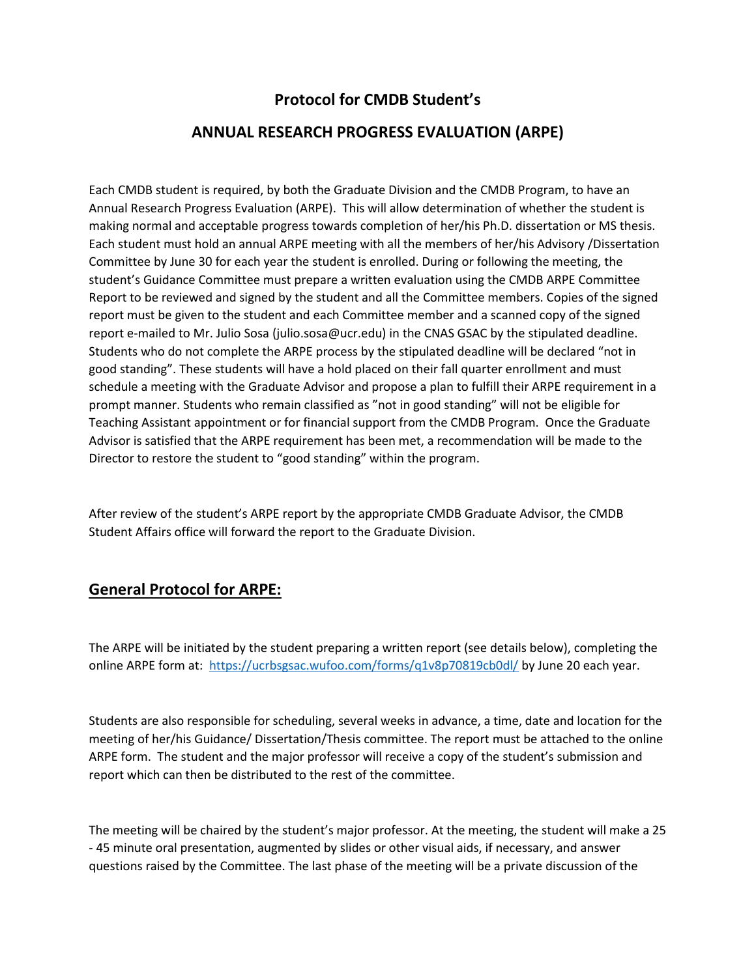## **Protocol for CMDB Student's**

## **ANNUAL RESEARCH PROGRESS EVALUATION (ARPE)**

Each CMDB student is required, by both the Graduate Division and the CMDB Program, to have an Annual Research Progress Evaluation (ARPE). This will allow determination of whether the student is making normal and acceptable progress towards completion of her/his Ph.D. dissertation or MS thesis. Each student must hold an annual ARPE meeting with all the members of her/his Advisory /Dissertation Committee by June 30 for each year the student is enrolled. During or following the meeting, the student's Guidance Committee must prepare a written evaluation using the CMDB ARPE Committee Report to be reviewed and signed by the student and all the Committee members. Copies of the signed report must be given to the student and each Committee member and a scanned copy of the signed report e-mailed to Mr. Julio Sosa (julio.sosa@ucr.edu) in the CNAS GSAC by the stipulated deadline. Students who do not complete the ARPE process by the stipulated deadline will be declared "not in good standing". These students will have a hold placed on their fall quarter enrollment and must schedule a meeting with the Graduate Advisor and propose a plan to fulfill their ARPE requirement in a prompt manner. Students who remain classified as "not in good standing" will not be eligible for Teaching Assistant appointment or for financial support from the CMDB Program. Once the Graduate Advisor is satisfied that the ARPE requirement has been met, a recommendation will be made to the Director to restore the student to "good standing" within the program.

After review of the student's ARPE report by the appropriate CMDB Graduate Advisor, the CMDB Student Affairs office will forward the report to the Graduate Division.

## **General Protocol for ARPE:**

The ARPE will be initiated by the student preparing a written report (see details below), completing the online ARPE form at: <https://ucrbsgsac.wufoo.com/forms/q1v8p70819cb0dl/> by June 20 each year.

Students are also responsible for scheduling, several weeks in advance, a time, date and location for the meeting of her/his Guidance/ Dissertation/Thesis committee. The report must be attached to the online ARPE form. The student and the major professor will receive a copy of the student's submission and report which can then be distributed to the rest of the committee.

The meeting will be chaired by the student's major professor. At the meeting, the student will make a 25 - 45 minute oral presentation, augmented by slides or other visual aids, if necessary, and answer questions raised by the Committee. The last phase of the meeting will be a private discussion of the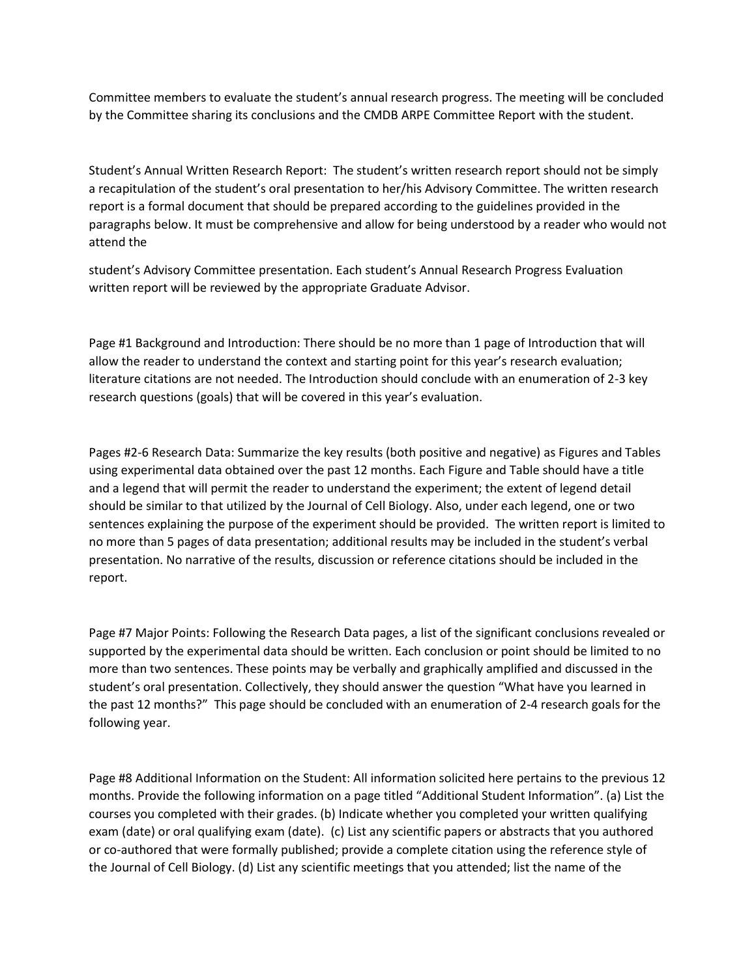Committee members to evaluate the student's annual research progress. The meeting will be concluded by the Committee sharing its conclusions and the CMDB ARPE Committee Report with the student.

Student's Annual Written Research Report: The student's written research report should not be simply a recapitulation of the student's oral presentation to her/his Advisory Committee. The written research report is a formal document that should be prepared according to the guidelines provided in the paragraphs below. It must be comprehensive and allow for being understood by a reader who would not attend the

student's Advisory Committee presentation. Each student's Annual Research Progress Evaluation written report will be reviewed by the appropriate Graduate Advisor.

Page #1 Background and Introduction: There should be no more than 1 page of Introduction that will allow the reader to understand the context and starting point for this year's research evaluation; literature citations are not needed. The Introduction should conclude with an enumeration of 2-3 key research questions (goals) that will be covered in this year's evaluation.

Pages #2-6 Research Data: Summarize the key results (both positive and negative) as Figures and Tables using experimental data obtained over the past 12 months. Each Figure and Table should have a title and a legend that will permit the reader to understand the experiment; the extent of legend detail should be similar to that utilized by the Journal of Cell Biology. Also, under each legend, one or two sentences explaining the purpose of the experiment should be provided. The written report is limited to no more than 5 pages of data presentation; additional results may be included in the student's verbal presentation. No narrative of the results, discussion or reference citations should be included in the report.

Page #7 Major Points: Following the Research Data pages, a list of the significant conclusions revealed or supported by the experimental data should be written. Each conclusion or point should be limited to no more than two sentences. These points may be verbally and graphically amplified and discussed in the student's oral presentation. Collectively, they should answer the question "What have you learned in the past 12 months?" This page should be concluded with an enumeration of 2-4 research goals for the following year.

Page #8 Additional Information on the Student: All information solicited here pertains to the previous 12 months. Provide the following information on a page titled "Additional Student Information". (a) List the courses you completed with their grades. (b) Indicate whether you completed your written qualifying exam (date) or oral qualifying exam (date). (c) List any scientific papers or abstracts that you authored or co-authored that were formally published; provide a complete citation using the reference style of the Journal of Cell Biology. (d) List any scientific meetings that you attended; list the name of the